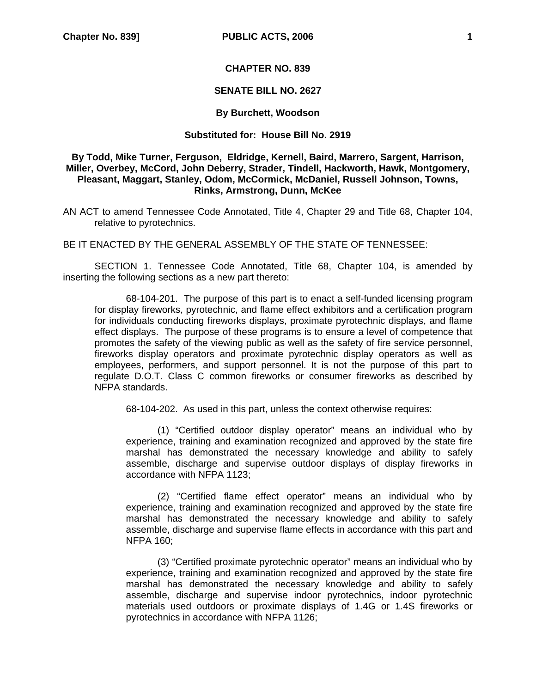## **CHAPTER NO. 839**

## **SENATE BILL NO. 2627**

## **By Burchett, Woodson**

# **Substituted for: House Bill No. 2919**

# **By Todd, Mike Turner, Ferguson, Eldridge, Kernell, Baird, Marrero, Sargent, Harrison, Miller, Overbey, McCord, John Deberry, Strader, Tindell, Hackworth, Hawk, Montgomery, Pleasant, Maggart, Stanley, Odom, McCormick, McDaniel, Russell Johnson, Towns, Rinks, Armstrong, Dunn, McKee**

AN ACT to amend Tennessee Code Annotated, Title 4, Chapter 29 and Title 68, Chapter 104, relative to pyrotechnics.

BE IT ENACTED BY THE GENERAL ASSEMBLY OF THE STATE OF TENNESSEE:

SECTION 1. Tennessee Code Annotated, Title 68, Chapter 104, is amended by inserting the following sections as a new part thereto:

68-104-201. The purpose of this part is to enact a self-funded licensing program for display fireworks, pyrotechnic, and flame effect exhibitors and a certification program for individuals conducting fireworks displays, proximate pyrotechnic displays, and flame effect displays. The purpose of these programs is to ensure a level of competence that promotes the safety of the viewing public as well as the safety of fire service personnel, fireworks display operators and proximate pyrotechnic display operators as well as employees, performers, and support personnel. It is not the purpose of this part to regulate D.O.T. Class C common fireworks or consumer fireworks as described by NFPA standards.

68-104-202. As used in this part, unless the context otherwise requires:

(1) "Certified outdoor display operator" means an individual who by experience, training and examination recognized and approved by the state fire marshal has demonstrated the necessary knowledge and ability to safely assemble, discharge and supervise outdoor displays of display fireworks in accordance with NFPA 1123;

(2) "Certified flame effect operator" means an individual who by experience, training and examination recognized and approved by the state fire marshal has demonstrated the necessary knowledge and ability to safely assemble, discharge and supervise flame effects in accordance with this part and NFPA 160;

(3) "Certified proximate pyrotechnic operator" means an individual who by experience, training and examination recognized and approved by the state fire marshal has demonstrated the necessary knowledge and ability to safely assemble, discharge and supervise indoor pyrotechnics, indoor pyrotechnic materials used outdoors or proximate displays of 1.4G or 1.4S fireworks or pyrotechnics in accordance with NFPA 1126;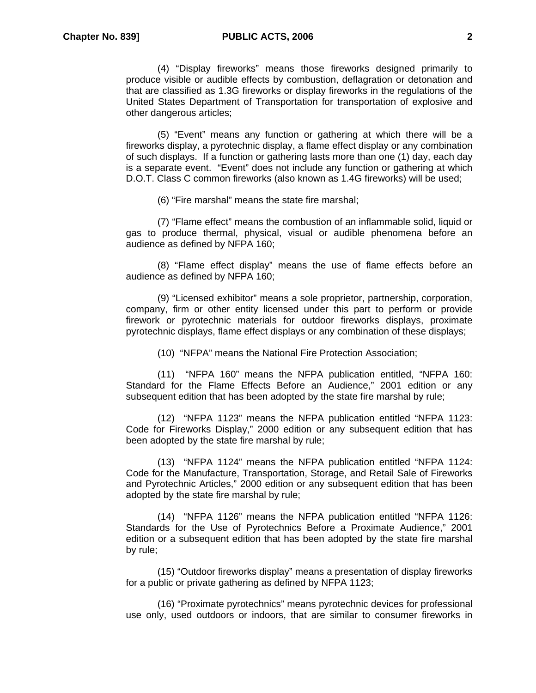(4) "Display fireworks" means those fireworks designed primarily to produce visible or audible effects by combustion, deflagration or detonation and that are classified as 1.3G fireworks or display fireworks in the regulations of the United States Department of Transportation for transportation of explosive and other dangerous articles;

(5) "Event" means any function or gathering at which there will be a fireworks display, a pyrotechnic display, a flame effect display or any combination of such displays. If a function or gathering lasts more than one (1) day, each day is a separate event. "Event" does not include any function or gathering at which D.O.T. Class C common fireworks (also known as 1.4G fireworks) will be used;

(6) "Fire marshal" means the state fire marshal;

(7) "Flame effect" means the combustion of an inflammable solid, liquid or gas to produce thermal, physical, visual or audible phenomena before an audience as defined by NFPA 160;

(8) "Flame effect display" means the use of flame effects before an audience as defined by NFPA 160;

(9) "Licensed exhibitor" means a sole proprietor, partnership, corporation, company, firm or other entity licensed under this part to perform or provide firework or pyrotechnic materials for outdoor fireworks displays, proximate pyrotechnic displays, flame effect displays or any combination of these displays;

(10) "NFPA" means the National Fire Protection Association;

(11) "NFPA 160" means the NFPA publication entitled, "NFPA 160: Standard for the Flame Effects Before an Audience," 2001 edition or any subsequent edition that has been adopted by the state fire marshal by rule;

(12) "NFPA 1123" means the NFPA publication entitled "NFPA 1123: Code for Fireworks Display," 2000 edition or any subsequent edition that has been adopted by the state fire marshal by rule;

(13) "NFPA 1124" means the NFPA publication entitled "NFPA 1124: Code for the Manufacture, Transportation, Storage, and Retail Sale of Fireworks and Pyrotechnic Articles," 2000 edition or any subsequent edition that has been adopted by the state fire marshal by rule;

(14) "NFPA 1126" means the NFPA publication entitled "NFPA 1126: Standards for the Use of Pyrotechnics Before a Proximate Audience," 2001 edition or a subsequent edition that has been adopted by the state fire marshal by rule;

(15) "Outdoor fireworks display" means a presentation of display fireworks for a public or private gathering as defined by NFPA 1123;

(16) "Proximate pyrotechnics" means pyrotechnic devices for professional use only, used outdoors or indoors, that are similar to consumer fireworks in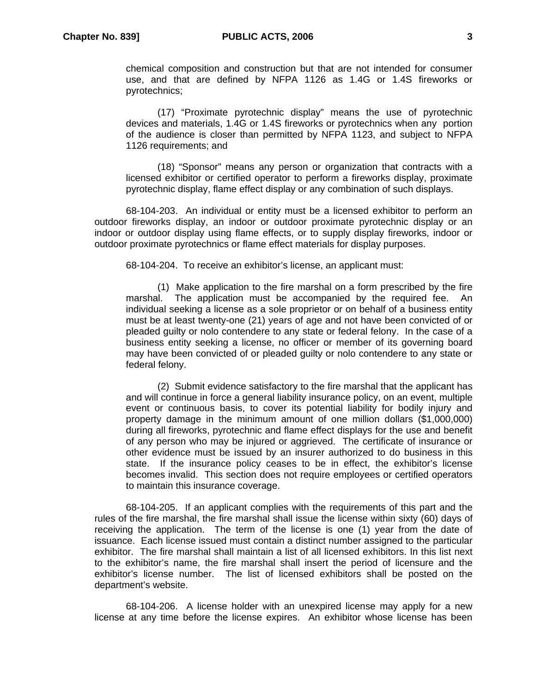chemical composition and construction but that are not intended for consumer use, and that are defined by NFPA 1126 as 1.4G or 1.4S fireworks or pyrotechnics;

(17) "Proximate pyrotechnic display" means the use of pyrotechnic devices and materials, 1.4G or 1.4S fireworks or pyrotechnics when any portion of the audience is closer than permitted by NFPA 1123, and subject to NFPA 1126 requirements; and

(18) "Sponsor" means any person or organization that contracts with a licensed exhibitor or certified operator to perform a fireworks display, proximate pyrotechnic display, flame effect display or any combination of such displays.

68-104-203. An individual or entity must be a licensed exhibitor to perform an outdoor fireworks display, an indoor or outdoor proximate pyrotechnic display or an indoor or outdoor display using flame effects, or to supply display fireworks, indoor or outdoor proximate pyrotechnics or flame effect materials for display purposes.

68-104-204. To receive an exhibitor's license, an applicant must:

(1) Make application to the fire marshal on a form prescribed by the fire marshal. The application must be accompanied by the required fee. An individual seeking a license as a sole proprietor or on behalf of a business entity must be at least twenty-one (21) years of age and not have been convicted of or pleaded guilty or nolo contendere to any state or federal felony. In the case of a business entity seeking a license, no officer or member of its governing board may have been convicted of or pleaded guilty or nolo contendere to any state or federal felony.

(2) Submit evidence satisfactory to the fire marshal that the applicant has and will continue in force a general liability insurance policy, on an event, multiple event or continuous basis, to cover its potential liability for bodily injury and property damage in the minimum amount of one million dollars (\$1,000,000) during all fireworks, pyrotechnic and flame effect displays for the use and benefit of any person who may be injured or aggrieved. The certificate of insurance or other evidence must be issued by an insurer authorized to do business in this state. If the insurance policy ceases to be in effect, the exhibitor's license becomes invalid. This section does not require employees or certified operators to maintain this insurance coverage.

68-104-205. If an applicant complies with the requirements of this part and the rules of the fire marshal, the fire marshal shall issue the license within sixty (60) days of receiving the application. The term of the license is one (1) year from the date of issuance. Each license issued must contain a distinct number assigned to the particular exhibitor. The fire marshal shall maintain a list of all licensed exhibitors. In this list next to the exhibitor's name, the fire marshal shall insert the period of licensure and the exhibitor's license number. The list of licensed exhibitors shall be posted on the department's website.

68-104-206. A license holder with an unexpired license may apply for a new license at any time before the license expires. An exhibitor whose license has been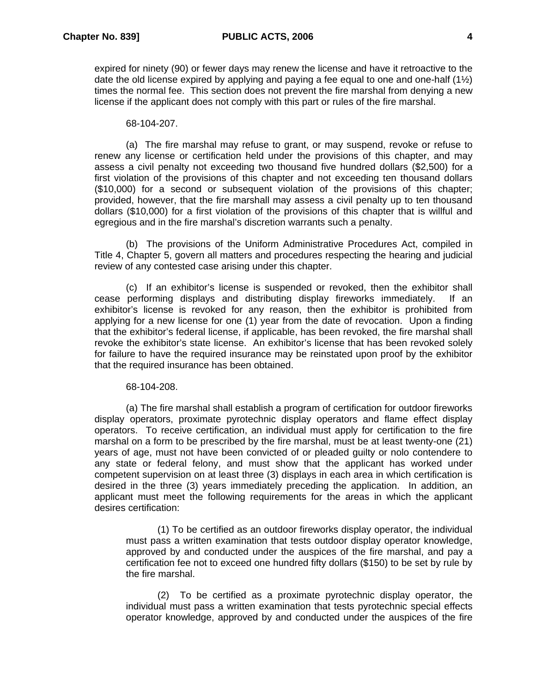expired for ninety (90) or fewer days may renew the license and have it retroactive to the date the old license expired by applying and paying a fee equal to one and one-half  $(1/2)$ times the normal fee. This section does not prevent the fire marshal from denying a new license if the applicant does not comply with this part or rules of the fire marshal.

### 68-104-207.

(a) The fire marshal may refuse to grant, or may suspend, revoke or refuse to renew any license or certification held under the provisions of this chapter, and may assess a civil penalty not exceeding two thousand five hundred dollars (\$2,500) for a first violation of the provisions of this chapter and not exceeding ten thousand dollars (\$10,000) for a second or subsequent violation of the provisions of this chapter; provided, however, that the fire marshall may assess a civil penalty up to ten thousand dollars (\$10,000) for a first violation of the provisions of this chapter that is willful and egregious and in the fire marshal's discretion warrants such a penalty.

(b) The provisions of the Uniform Administrative Procedures Act, compiled in Title 4, Chapter 5, govern all matters and procedures respecting the hearing and judicial review of any contested case arising under this chapter.

(c) If an exhibitor's license is suspended or revoked, then the exhibitor shall cease performing displays and distributing display fireworks immediately. If an exhibitor's license is revoked for any reason, then the exhibitor is prohibited from applying for a new license for one (1) year from the date of revocation. Upon a finding that the exhibitor's federal license, if applicable, has been revoked, the fire marshal shall revoke the exhibitor's state license. An exhibitor's license that has been revoked solely for failure to have the required insurance may be reinstated upon proof by the exhibitor that the required insurance has been obtained.

### 68-104-208.

(a) The fire marshal shall establish a program of certification for outdoor fireworks display operators, proximate pyrotechnic display operators and flame effect display operators. To receive certification, an individual must apply for certification to the fire marshal on a form to be prescribed by the fire marshal, must be at least twenty-one (21) years of age, must not have been convicted of or pleaded guilty or nolo contendere to any state or federal felony, and must show that the applicant has worked under competent supervision on at least three (3) displays in each area in which certification is desired in the three (3) years immediately preceding the application. In addition, an applicant must meet the following requirements for the areas in which the applicant desires certification:

(1) To be certified as an outdoor fireworks display operator, the individual must pass a written examination that tests outdoor display operator knowledge, approved by and conducted under the auspices of the fire marshal, and pay a certification fee not to exceed one hundred fifty dollars (\$150) to be set by rule by the fire marshal.

(2) To be certified as a proximate pyrotechnic display operator, the individual must pass a written examination that tests pyrotechnic special effects operator knowledge, approved by and conducted under the auspices of the fire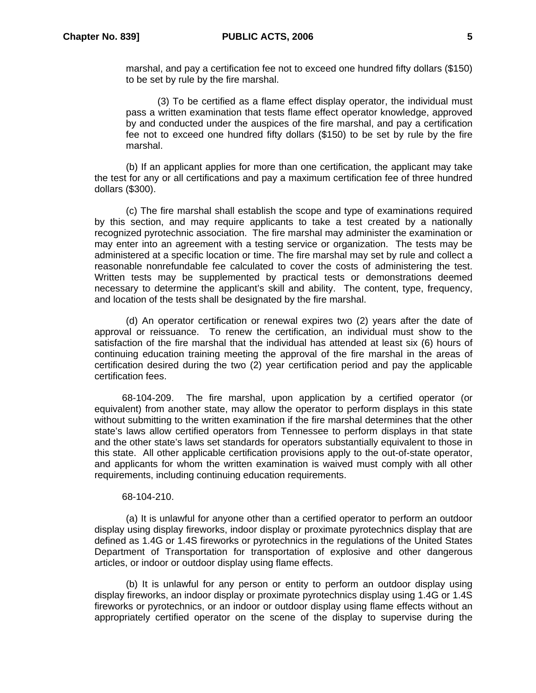marshal, and pay a certification fee not to exceed one hundred fifty dollars (\$150) to be set by rule by the fire marshal.

(3) To be certified as a flame effect display operator, the individual must pass a written examination that tests flame effect operator knowledge, approved by and conducted under the auspices of the fire marshal, and pay a certification fee not to exceed one hundred fifty dollars (\$150) to be set by rule by the fire marshal.

(b) If an applicant applies for more than one certification, the applicant may take the test for any or all certifications and pay a maximum certification fee of three hundred dollars (\$300).

(c) The fire marshal shall establish the scope and type of examinations required by this section, and may require applicants to take a test created by a nationally recognized pyrotechnic association. The fire marshal may administer the examination or may enter into an agreement with a testing service or organization. The tests may be administered at a specific location or time. The fire marshal may set by rule and collect a reasonable nonrefundable fee calculated to cover the costs of administering the test. Written tests may be supplemented by practical tests or demonstrations deemed necessary to determine the applicant's skill and ability. The content, type, frequency, and location of the tests shall be designated by the fire marshal.

(d) An operator certification or renewal expires two (2) years after the date of approval or reissuance. To renew the certification, an individual must show to the satisfaction of the fire marshal that the individual has attended at least six (6) hours of continuing education training meeting the approval of the fire marshal in the areas of certification desired during the two (2) year certification period and pay the applicable certification fees.

68-104-209. The fire marshal, upon application by a certified operator (or equivalent) from another state, may allow the operator to perform displays in this state without submitting to the written examination if the fire marshal determines that the other state's laws allow certified operators from Tennessee to perform displays in that state and the other state's laws set standards for operators substantially equivalent to those in this state. All other applicable certification provisions apply to the out-of-state operator, and applicants for whom the written examination is waived must comply with all other requirements, including continuing education requirements.

#### 68-104-210.

(a) It is unlawful for anyone other than a certified operator to perform an outdoor display using display fireworks, indoor display or proximate pyrotechnics display that are defined as 1.4G or 1.4S fireworks or pyrotechnics in the regulations of the United States Department of Transportation for transportation of explosive and other dangerous articles, or indoor or outdoor display using flame effects.

(b) It is unlawful for any person or entity to perform an outdoor display using display fireworks, an indoor display or proximate pyrotechnics display using 1.4G or 1.4S fireworks or pyrotechnics, or an indoor or outdoor display using flame effects without an appropriately certified operator on the scene of the display to supervise during the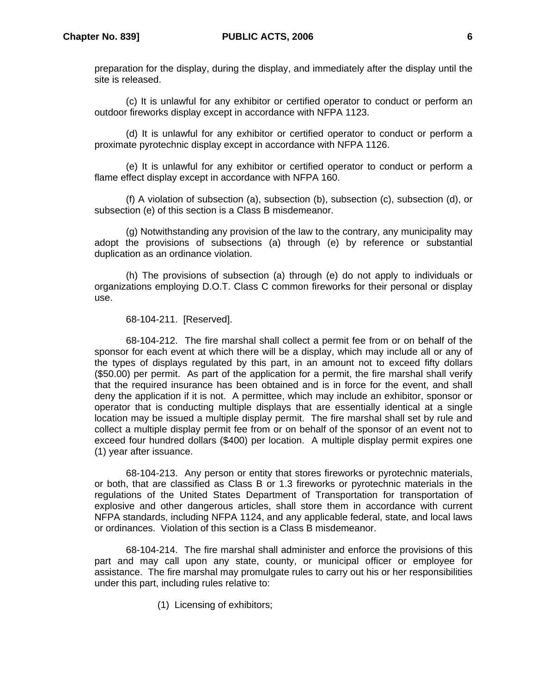preparation for the display, during the display, and immediately after the display until the site is released.

(c) It is unlawful for any exhibitor or certified operator to conduct or perform an outdoor fireworks display except in accordance with NFPA 1123.

(d) It is unlawful for any exhibitor or certified operator to conduct or perform a proximate pyrotechnic display except in accordance with NFPA 1126.

(e) It is unlawful for any exhibitor or certified operator to conduct or perform a flame effect display except in accordance with NFPA 160.

(f) A violation of subsection (a), subsection (b), subsection (c), subsection (d), or subsection (e) of this section is a Class B misdemeanor.

(g) Notwithstanding any provision of the law to the contrary, any municipality may adopt the provisions of subsections (a) through (e) by reference or substantial duplication as an ordinance violation.

(h) The provisions of subsection (a) through (e) do not apply to individuals or organizations employing D.O.T. Class C common fireworks for their personal or display use.

68-104-211. [Reserved].

68-104-212. The fire marshal shall collect a permit fee from or on behalf of the sponsor for each event at which there will be a display, which may include all or any of the types of displays regulated by this part, in an amount not to exceed fifty dollars (\$50.00) per permit. As part of the application for a permit, the fire marshal shall verify that the required insurance has been obtained and is in force for the event, and shall deny the application if it is not. A permittee, which may include an exhibitor, sponsor or operator that is conducting multiple displays that are essentially identical at a single location may be issued a multiple display permit. The fire marshal shall set by rule and collect a multiple display permit fee from or on behalf of the sponsor of an event not to exceed four hundred dollars (\$400) per location. A multiple display permit expires one (1) year after issuance.

68-104-213. Any person or entity that stores fireworks or pyrotechnic materials, or both, that are classified as Class B or 1.3 fireworks or pyrotechnic materials in the regulations of the United States Department of Transportation for transportation of explosive and other dangerous articles, shall store them in accordance with current NFPA standards, including NFPA 1124, and any applicable federal, state, and local laws or ordinances. Violation of this section is a Class B misdemeanor.

68-104-214. The fire marshal shall administer and enforce the provisions of this part and may call upon any state, county, or municipal officer or employee for assistance. The fire marshal may promulgate rules to carry out his or her responsibilities under this part, including rules relative to:

(1) Licensing of exhibitors;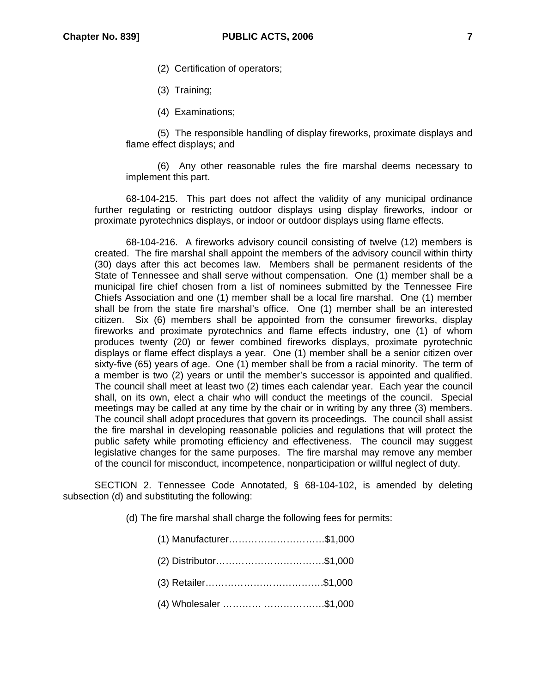- (2) Certification of operators;
- (3) Training;
- (4) Examinations;

(5) The responsible handling of display fireworks, proximate displays and flame effect displays; and

(6) Any other reasonable rules the fire marshal deems necessary to implement this part.

68-104-215. This part does not affect the validity of any municipal ordinance further regulating or restricting outdoor displays using display fireworks, indoor or proximate pyrotechnics displays, or indoor or outdoor displays using flame effects.

68-104-216. A fireworks advisory council consisting of twelve (12) members is created. The fire marshal shall appoint the members of the advisory council within thirty (30) days after this act becomes law. Members shall be permanent residents of the State of Tennessee and shall serve without compensation. One (1) member shall be a municipal fire chief chosen from a list of nominees submitted by the Tennessee Fire Chiefs Association and one (1) member shall be a local fire marshal. One (1) member shall be from the state fire marshal's office. One (1) member shall be an interested citizen. Six (6) members shall be appointed from the consumer fireworks, display fireworks and proximate pyrotechnics and flame effects industry, one (1) of whom produces twenty (20) or fewer combined fireworks displays, proximate pyrotechnic displays or flame effect displays a year. One (1) member shall be a senior citizen over sixty-five (65) years of age. One (1) member shall be from a racial minority. The term of a member is two (2) years or until the member's successor is appointed and qualified. The council shall meet at least two (2) times each calendar year. Each year the council shall, on its own, elect a chair who will conduct the meetings of the council. Special meetings may be called at any time by the chair or in writing by any three (3) members. The council shall adopt procedures that govern its proceedings. The council shall assist the fire marshal in developing reasonable policies and regulations that will protect the public safety while promoting efficiency and effectiveness. The council may suggest legislative changes for the same purposes. The fire marshal may remove any member of the council for misconduct, incompetence, nonparticipation or willful neglect of duty.

SECTION 2. Tennessee Code Annotated, § 68-104-102, is amended by deleting subsection (d) and substituting the following:

(d) The fire marshal shall charge the following fees for permits:

(1) Manufacturer…………………………\$1,000 (2) Distributor…………………………….\$1,000 (3) Retailer……………………………….\$1,000 (4) Wholesaler ………… ……………….\$1,000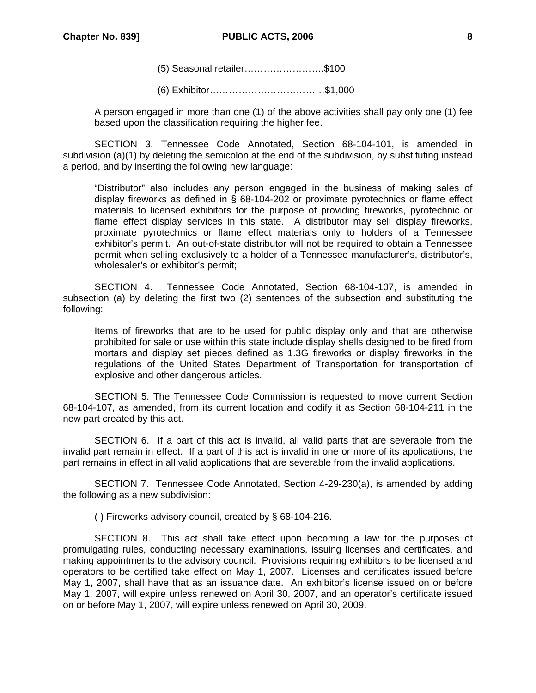(5) Seasonal retailer…………………….\$100

(6) Exhibitor………………………………\$1,000

A person engaged in more than one (1) of the above activities shall pay only one (1) fee based upon the classification requiring the higher fee.

SECTION 3. Tennessee Code Annotated, Section 68-104-101, is amended in subdivision (a)(1) by deleting the semicolon at the end of the subdivision, by substituting instead a period, and by inserting the following new language:

"Distributor" also includes any person engaged in the business of making sales of display fireworks as defined in § 68-104-202 or proximate pyrotechnics or flame effect materials to licensed exhibitors for the purpose of providing fireworks, pyrotechnic or flame effect display services in this state. A distributor may sell display fireworks, proximate pyrotechnics or flame effect materials only to holders of a Tennessee exhibitor's permit. An out-of-state distributor will not be required to obtain a Tennessee permit when selling exclusively to a holder of a Tennessee manufacturer's, distributor's, wholesaler's or exhibitor's permit;

SECTION 4. Tennessee Code Annotated, Section 68-104-107, is amended in subsection (a) by deleting the first two (2) sentences of the subsection and substituting the following:

Items of fireworks that are to be used for public display only and that are otherwise prohibited for sale or use within this state include display shells designed to be fired from mortars and display set pieces defined as 1.3G fireworks or display fireworks in the regulations of the United States Department of Transportation for transportation of explosive and other dangerous articles.

SECTION 5. The Tennessee Code Commission is requested to move current Section 68-104-107, as amended, from its current location and codify it as Section 68-104-211 in the new part created by this act.

SECTION 6. If a part of this act is invalid, all valid parts that are severable from the invalid part remain in effect. If a part of this act is invalid in one or more of its applications, the part remains in effect in all valid applications that are severable from the invalid applications.

SECTION 7. Tennessee Code Annotated, Section 4-29-230(a), is amended by adding the following as a new subdivision:

( ) Fireworks advisory council, created by § 68-104-216.

 SECTION 8. This act shall take effect upon becoming a law for the purposes of promulgating rules, conducting necessary examinations, issuing licenses and certificates, and making appointments to the advisory council. Provisions requiring exhibitors to be licensed and operators to be certified take effect on May 1, 2007. Licenses and certificates issued before May 1, 2007, shall have that as an issuance date. An exhibitor's license issued on or before May 1, 2007, will expire unless renewed on April 30, 2007, and an operator's certificate issued on or before May 1, 2007, will expire unless renewed on April 30, 2009.